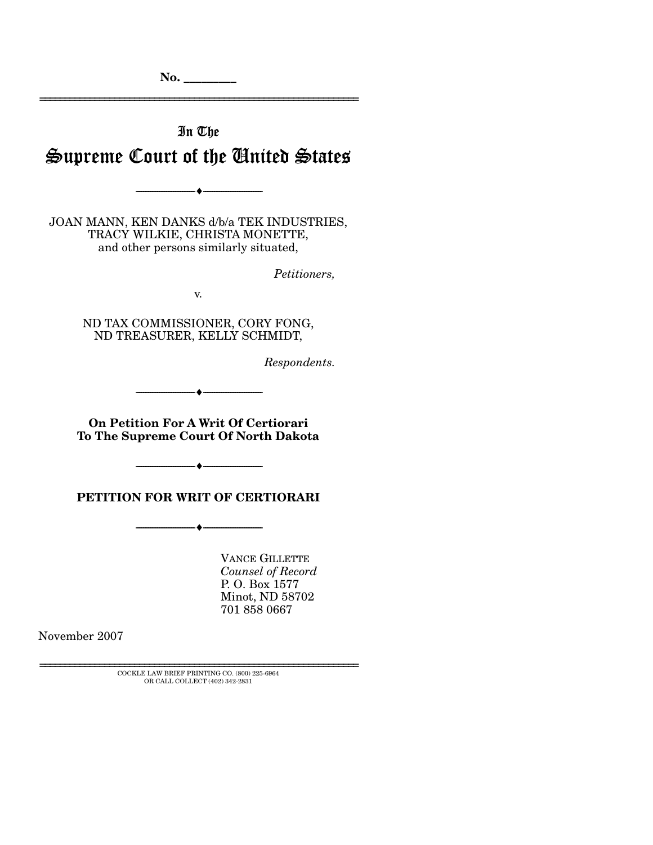================================================================

## In The

# Supreme Court of the United States

--------------------------------- ♦ ---------------------------------

JOAN MANN, KEN DANKS d/b/a TEK INDUSTRIES, TRACY WILKIE, CHRISTA MONETTE, and other persons similarly situated,

*Petitioners,* 

v.

ND TAX COMMISSIONER, CORY FONG, ND TREASURER, KELLY SCHMIDT,

*Respondents.* 

**On Petition For A Writ Of Certiorari To The Supreme Court Of North Dakota** 

--------------------------------- ♦ ---------------------------------

--------------------------------- ♦ ---------------------------------

#### **PETITION FOR WRIT OF CERTIORARI**

--------------------------------- ♦ ---------------------------------

VANCE GILLETTE *Counsel of Record*  P. O. Box 1577 Minot, ND 58702 701 858 0667

November 2007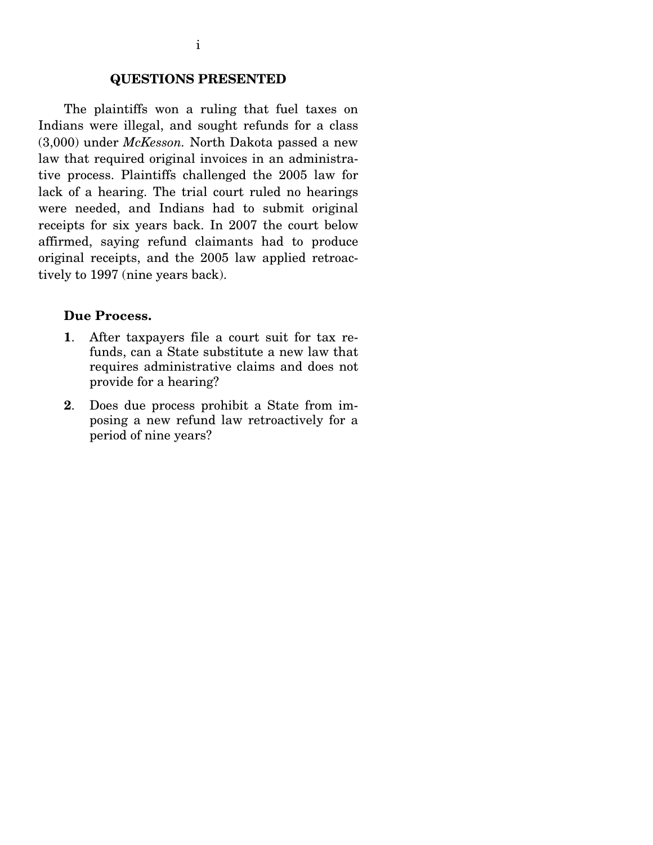## **QUESTIONS PRESENTED**

 The plaintiffs won a ruling that fuel taxes on Indians were illegal, and sought refunds for a class (3,000) under *McKesson.* North Dakota passed a new law that required original invoices in an administrative process. Plaintiffs challenged the 2005 law for lack of a hearing. The trial court ruled no hearings were needed, and Indians had to submit original receipts for six years back. In 2007 the court below affirmed, saying refund claimants had to produce original receipts, and the 2005 law applied retroactively to 1997 (nine years back).

### **Due Process.**

- **1**. After taxpayers file a court suit for tax refunds, can a State substitute a new law that requires administrative claims and does not provide for a hearing?
- **2**. Does due process prohibit a State from imposing a new refund law retroactively for a period of nine years?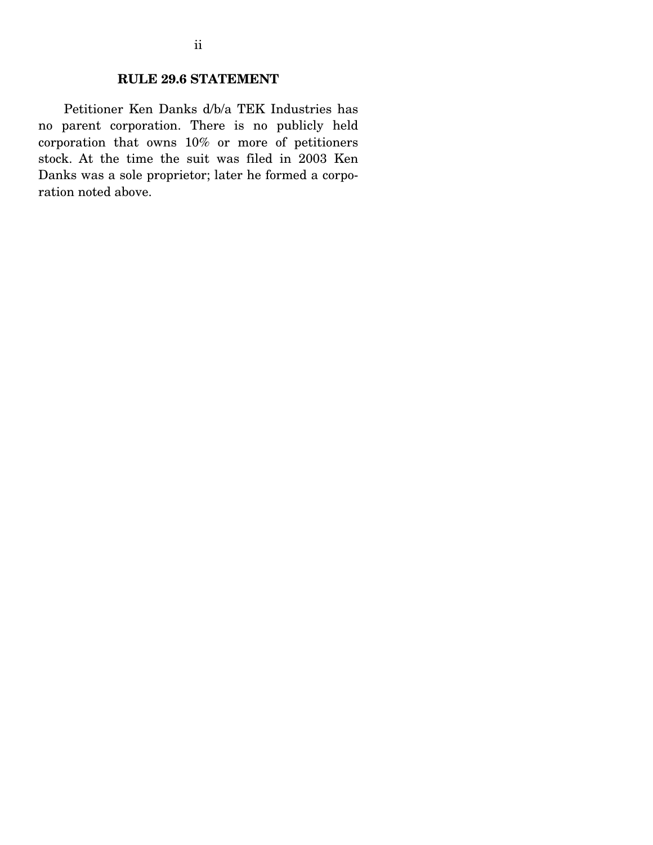### **RULE 29.6 STATEMENT**

 Petitioner Ken Danks d/b/a TEK Industries has no parent corporation. There is no publicly held corporation that owns 10% or more of petitioners stock. At the time the suit was filed in 2003 Ken Danks was a sole proprietor; later he formed a corporation noted above.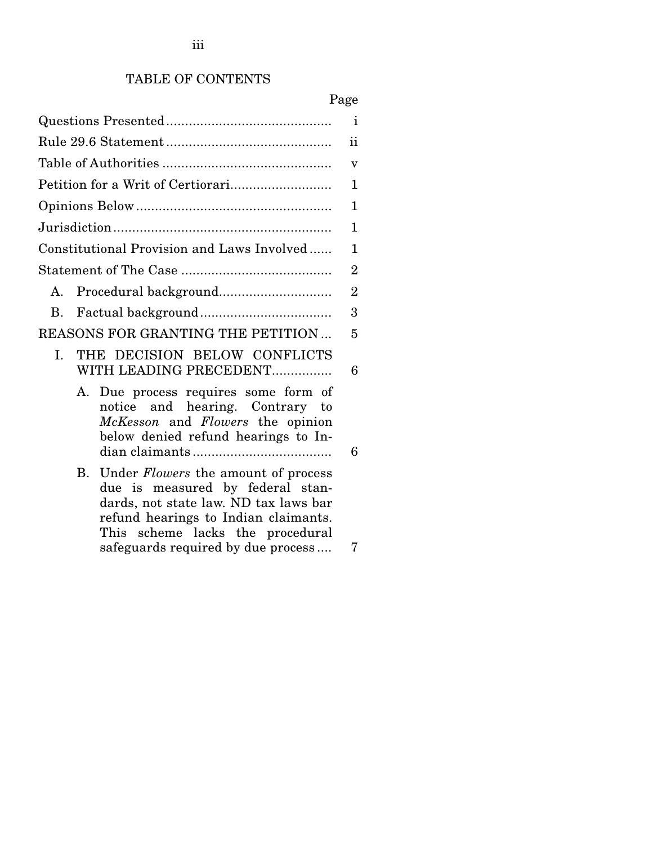## TABLE OF CONTENTS

|                                                                                                                                                                                                                                                 | i              |
|-------------------------------------------------------------------------------------------------------------------------------------------------------------------------------------------------------------------------------------------------|----------------|
|                                                                                                                                                                                                                                                 | ii             |
|                                                                                                                                                                                                                                                 | v              |
|                                                                                                                                                                                                                                                 | 1              |
|                                                                                                                                                                                                                                                 | 1              |
|                                                                                                                                                                                                                                                 | 1              |
| Constitutional Provision and Laws Involved                                                                                                                                                                                                      | $\mathbf{1}$   |
|                                                                                                                                                                                                                                                 | $\overline{2}$ |
| A.                                                                                                                                                                                                                                              | $\overline{2}$ |
| В.                                                                                                                                                                                                                                              | 3              |
| REASONS FOR GRANTING THE PETITION                                                                                                                                                                                                               | 5              |
| THE DECISION BELOW CONFLICTS<br>I.<br>WITH LEADING PRECEDENT                                                                                                                                                                                    | 6              |
| Due process requires some form of<br>А.<br>notice and hearing. Contrary to<br>McKesson and Flowers the opinion<br>below denied refund hearings to In-                                                                                           | 6              |
| Under <i>Flowers</i> the amount of process<br>В.<br>due is measured by federal stan-<br>dards, not state law. ND tax laws bar<br>refund hearings to Indian claimants.<br>This scheme lacks the procedural<br>safeguards required by due process | 7              |
|                                                                                                                                                                                                                                                 |                |

iii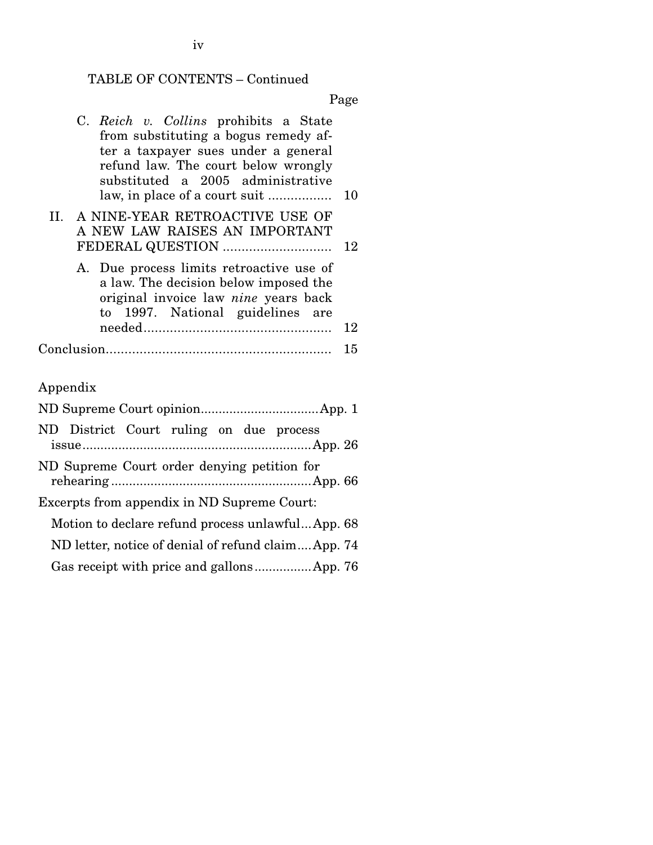## TABLE OF CONTENTS – Continued

|                                                    | C. Reich v. Collins prohibits a State<br>from substituting a bogus remedy af-<br>ter a taxpayer sues under a general<br>refund law. The court below wrongly<br>substituted a 2005 administrative<br>law, in place of a court suit<br>10 |  |  |  |
|----------------------------------------------------|-----------------------------------------------------------------------------------------------------------------------------------------------------------------------------------------------------------------------------------------|--|--|--|
|                                                    | II. A NINE-YEAR RETROACTIVE USE OF<br>A NEW LAW RAISES AN IMPORTANT<br>FEDERAL QUESTION<br>12                                                                                                                                           |  |  |  |
|                                                    | A. Due process limits retroactive use of<br>a law. The decision below imposed the<br>original invoice law nine years back<br>1997. National guidelines are<br>to<br>12                                                                  |  |  |  |
|                                                    | 15                                                                                                                                                                                                                                      |  |  |  |
| Appendix                                           |                                                                                                                                                                                                                                         |  |  |  |
| ND District Court ruling on due process            |                                                                                                                                                                                                                                         |  |  |  |
| ND Supreme Court order denying petition for        |                                                                                                                                                                                                                                         |  |  |  |
|                                                    | Excerpts from appendix in ND Supreme Court:                                                                                                                                                                                             |  |  |  |
| Motion to declare refund process unlawful App. 68  |                                                                                                                                                                                                                                         |  |  |  |
| ND letter, notice of denial of refund claimApp. 74 |                                                                                                                                                                                                                                         |  |  |  |
|                                                    |                                                                                                                                                                                                                                         |  |  |  |
|                                                    |                                                                                                                                                                                                                                         |  |  |  |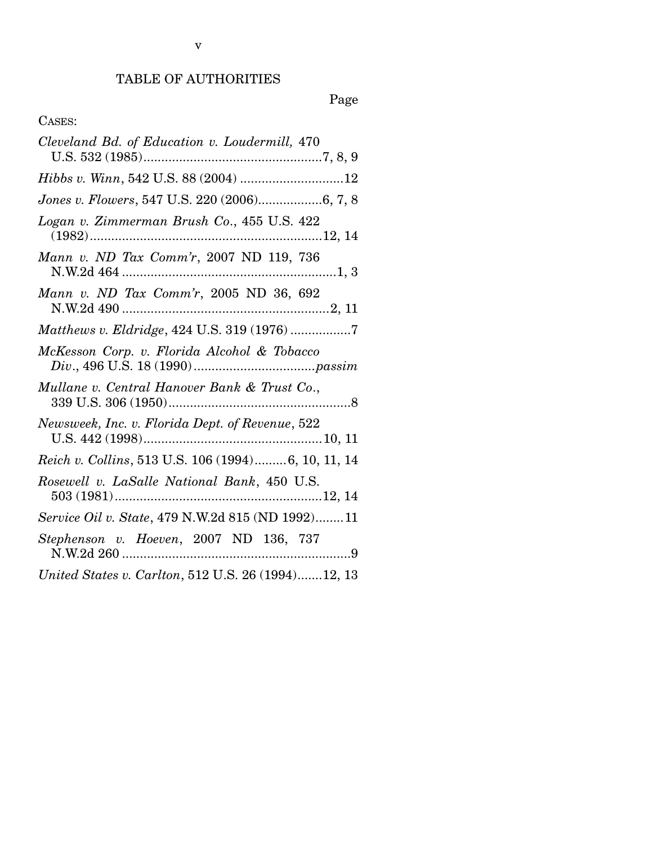## TABLE OF AUTHORITIES

| Cleveland Bd. of Education v. Loudermill, 470      |
|----------------------------------------------------|
|                                                    |
| Jones v. Flowers, 547 U.S. 220 (2006)6, 7, 8       |
| Logan v. Zimmerman Brush Co., 455 U.S. 422         |
| Mann v. ND Tax Comm'r, 2007 ND 119, 736            |
| Mann v. ND Tax Comm'r, 2005 ND 36, 692             |
| Matthews v. Eldridge, 424 U.S. 319 (1976) 7        |
| McKesson Corp. v. Florida Alcohol & Tobacco        |
| Mullane v. Central Hanover Bank & Trust Co.,       |
| Newsweek, Inc. v. Florida Dept. of Revenue, 522    |
| Reich v. Collins, 513 U.S. 106 (1994)6, 10, 11, 14 |
| Rosewell v. LaSalle National Bank, 450 U.S.        |
| Service Oil v. State, 479 N.W.2d 815 (ND 1992)11   |
| Stephenson v. Hoeven, 2007 ND 136, 737             |
| United States v. Carlton, 512 U.S. 26 (1994)12, 13 |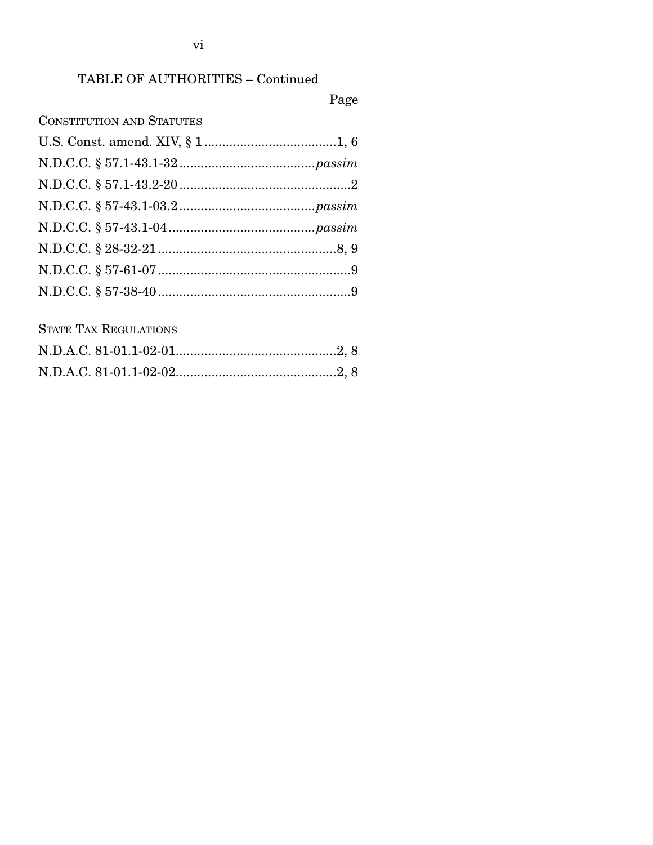## TABLE OF AUTHORITIES - Continued

## Page

## **CONSTITUTION AND STATUTES**

## **STATE TAX REGULATIONS**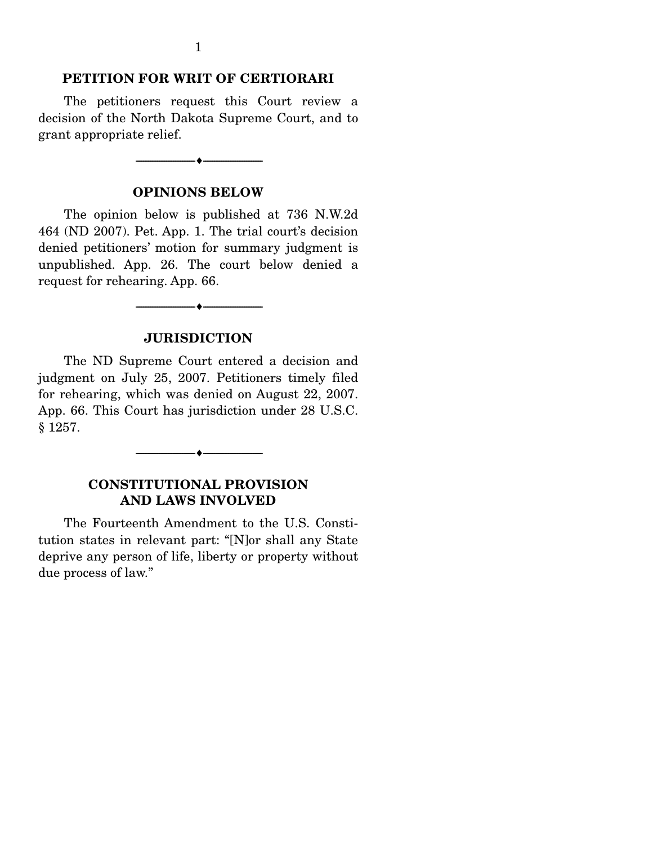#### **PETITION FOR WRIT OF CERTIORARI**

 The petitioners request this Court review a decision of the North Dakota Supreme Court, and to grant appropriate relief.

#### **OPINIONS BELOW**

--------------------------------- ♦ ---------------------------------

 The opinion below is published at 736 N.W.2d 464 (ND 2007). Pet. App. 1. The trial court's decision denied petitioners' motion for summary judgment is unpublished. App. 26. The court below denied a request for rehearing. App. 66.

#### **JURISDICTION**

--------------------------------- ♦ ---------------------------------

 The ND Supreme Court entered a decision and judgment on July 25, 2007. Petitioners timely filed for rehearing, which was denied on August 22, 2007. App. 66. This Court has jurisdiction under 28 U.S.C. § 1257.

### **CONSTITUTIONAL PROVISION AND LAWS INVOLVED**

--------------------------------- ♦ ---------------------------------

 The Fourteenth Amendment to the U.S. Constitution states in relevant part: "[N]or shall any State deprive any person of life, liberty or property without due process of law."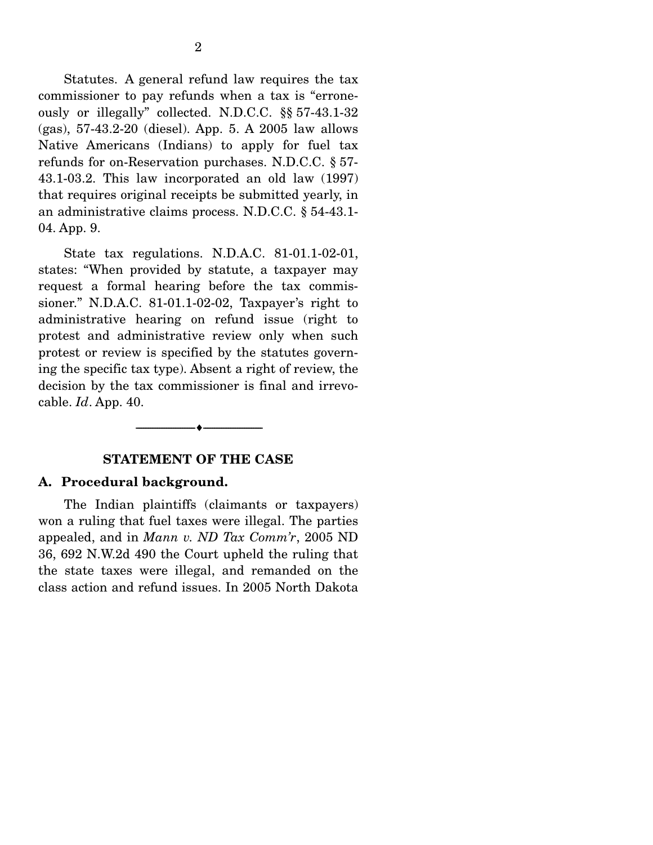Statutes. A general refund law requires the tax commissioner to pay refunds when a tax is "erroneously or illegally" collected. N.D.C.C. §§ 57-43.1-32 (gas), 57-43.2-20 (diesel). App. 5. A 2005 law allows Native Americans (Indians) to apply for fuel tax refunds for on-Reservation purchases. N.D.C.C. § 57- 43.1-03.2. This law incorporated an old law (1997) that requires original receipts be submitted yearly, in an administrative claims process. N.D.C.C. § 54-43.1- 04. App. 9.

 State tax regulations. N.D.A.C. 81-01.1-02-01, states: "When provided by statute, a taxpayer may request a formal hearing before the tax commissioner." N.D.A.C. 81-01.1-02-02, Taxpayer's right to administrative hearing on refund issue (right to protest and administrative review only when such protest or review is specified by the statutes governing the specific tax type). Absent a right of review, the decision by the tax commissioner is final and irrevocable. *Id*. App. 40.

#### **STATEMENT OF THE CASE**

 $\overbrace{\hspace{2.5cm}}$   $\overbrace{\hspace{2.5cm}}$   $\overbrace{\hspace{2.5cm}}$ 

#### **A. Procedural background.**

 The Indian plaintiffs (claimants or taxpayers) won a ruling that fuel taxes were illegal. The parties appealed, and in *Mann v. ND Tax Comm'r*, 2005 ND 36, 692 N.W.2d 490 the Court upheld the ruling that the state taxes were illegal, and remanded on the class action and refund issues. In 2005 North Dakota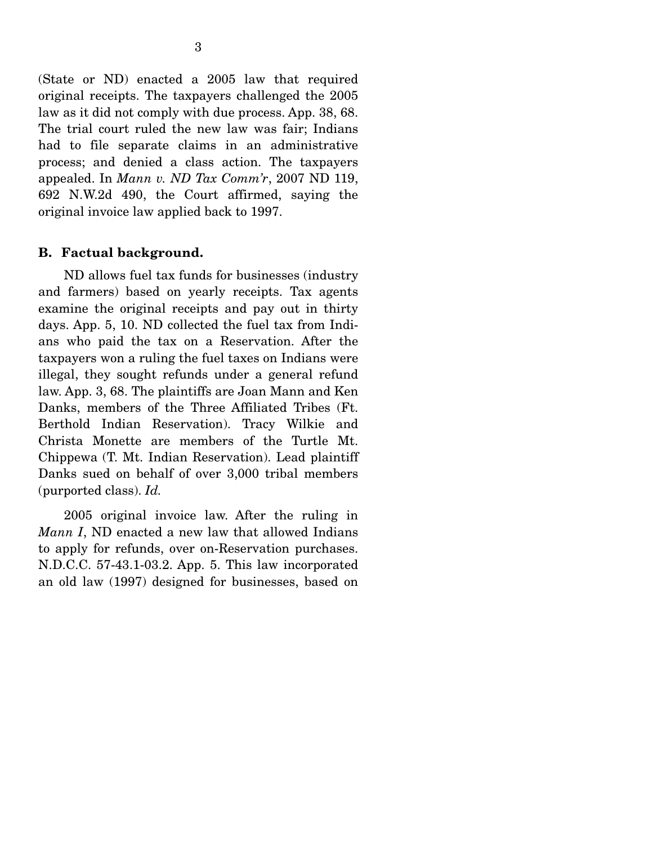(State or ND) enacted a 2005 law that required original receipts. The taxpayers challenged the 2005 law as it did not comply with due process. App. 38, 68. The trial court ruled the new law was fair; Indians had to file separate claims in an administrative process; and denied a class action. The taxpayers appealed. In *Mann v. ND Tax Comm'r*, 2007 ND 119, 692 N.W.2d 490, the Court affirmed, saying the original invoice law applied back to 1997.

## **B. Factual background.**

 ND allows fuel tax funds for businesses (industry and farmers) based on yearly receipts. Tax agents examine the original receipts and pay out in thirty days. App. 5, 10. ND collected the fuel tax from Indians who paid the tax on a Reservation. After the taxpayers won a ruling the fuel taxes on Indians were illegal, they sought refunds under a general refund law. App. 3, 68. The plaintiffs are Joan Mann and Ken Danks, members of the Three Affiliated Tribes (Ft. Berthold Indian Reservation). Tracy Wilkie and Christa Monette are members of the Turtle Mt. Chippewa (T. Mt. Indian Reservation). Lead plaintiff Danks sued on behalf of over 3,000 tribal members (purported class). *Id.* 

 2005 original invoice law. After the ruling in *Mann I*, ND enacted a new law that allowed Indians to apply for refunds, over on-Reservation purchases. N.D.C.C. 57-43.1-03.2. App. 5. This law incorporated an old law (1997) designed for businesses, based on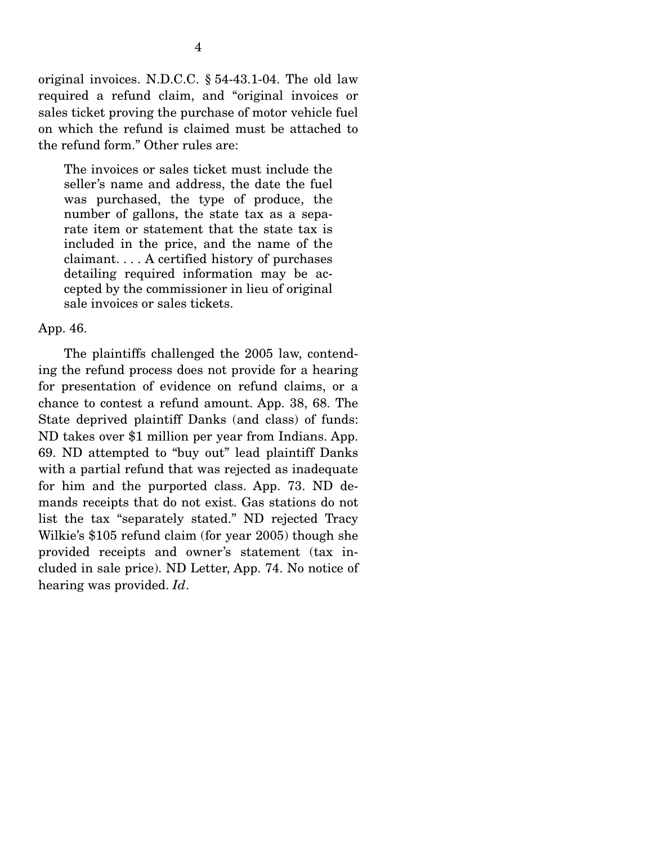original invoices. N.D.C.C. § 54-43.1-04. The old law required a refund claim, and "original invoices or sales ticket proving the purchase of motor vehicle fuel on which the refund is claimed must be attached to the refund form." Other rules are:

The invoices or sales ticket must include the seller's name and address, the date the fuel was purchased, the type of produce, the number of gallons, the state tax as a separate item or statement that the state tax is included in the price, and the name of the claimant. . . . A certified history of purchases detailing required information may be accepted by the commissioner in lieu of original sale invoices or sales tickets.

App. 46.

 The plaintiffs challenged the 2005 law, contending the refund process does not provide for a hearing for presentation of evidence on refund claims, or a chance to contest a refund amount. App. 38, 68. The State deprived plaintiff Danks (and class) of funds: ND takes over \$1 million per year from Indians. App. 69. ND attempted to "buy out" lead plaintiff Danks with a partial refund that was rejected as inadequate for him and the purported class. App. 73. ND demands receipts that do not exist. Gas stations do not list the tax "separately stated." ND rejected Tracy Wilkie's \$105 refund claim (for year 2005) though she provided receipts and owner's statement (tax included in sale price). ND Letter, App. 74. No notice of hearing was provided. *Id*.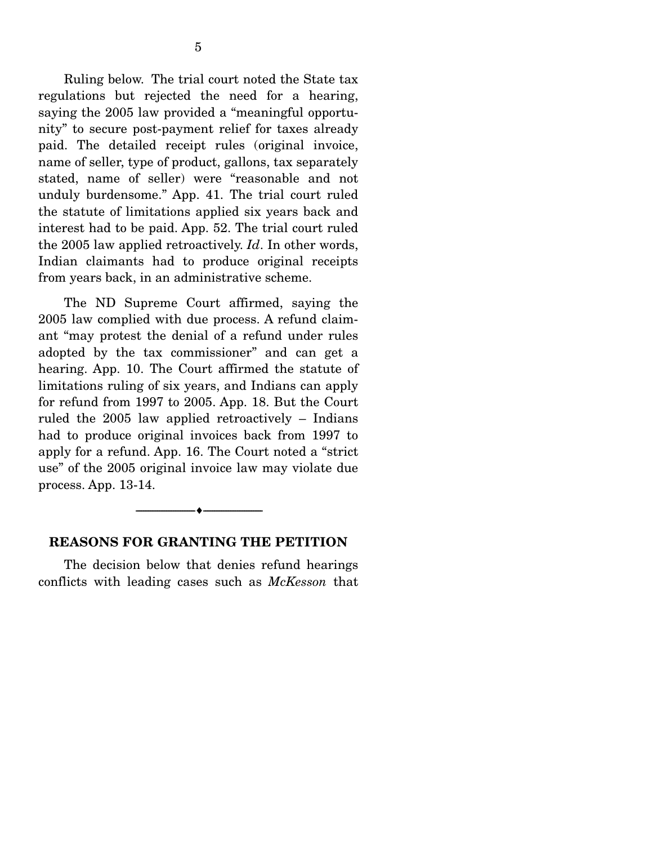Ruling below. The trial court noted the State tax regulations but rejected the need for a hearing, saying the 2005 law provided a "meaningful opportunity" to secure post-payment relief for taxes already paid. The detailed receipt rules (original invoice, name of seller, type of product, gallons, tax separately stated, name of seller) were "reasonable and not unduly burdensome." App. 41. The trial court ruled the statute of limitations applied six years back and interest had to be paid. App. 52. The trial court ruled the 2005 law applied retroactively. *Id*. In other words, Indian claimants had to produce original receipts from years back, in an administrative scheme.

 The ND Supreme Court affirmed, saying the 2005 law complied with due process. A refund claimant "may protest the denial of a refund under rules adopted by the tax commissioner" and can get a hearing. App. 10. The Court affirmed the statute of limitations ruling of six years, and Indians can apply for refund from 1997 to 2005. App. 18. But the Court ruled the 2005 law applied retroactively – Indians had to produce original invoices back from 1997 to apply for a refund. App. 16. The Court noted a "strict use" of the 2005 original invoice law may violate due process. App. 13-14.

#### **REASONS FOR GRANTING THE PETITION**

 $\overbrace{\hspace{2.5cm}}$   $\overbrace{\hspace{2.5cm}}$   $\overbrace{\hspace{2.5cm}}$ 

 The decision below that denies refund hearings conflicts with leading cases such as *McKesson* that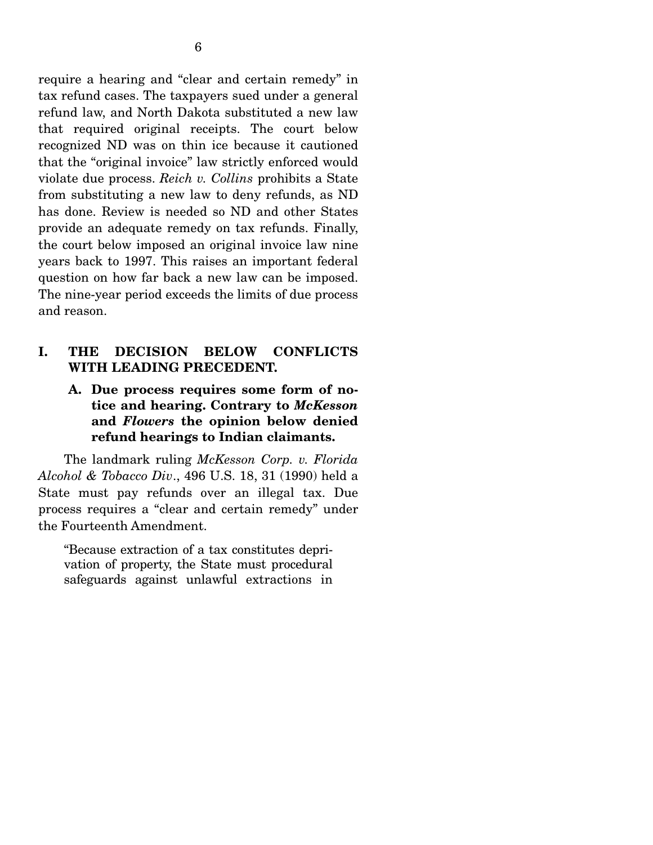require a hearing and "clear and certain remedy" in tax refund cases. The taxpayers sued under a general refund law, and North Dakota substituted a new law that required original receipts. The court below recognized ND was on thin ice because it cautioned that the "original invoice" law strictly enforced would violate due process. *Reich v. Collins* prohibits a State from substituting a new law to deny refunds, as ND has done. Review is needed so ND and other States provide an adequate remedy on tax refunds. Finally, the court below imposed an original invoice law nine years back to 1997. This raises an important federal question on how far back a new law can be imposed. The nine-year period exceeds the limits of due process and reason.

## **I. THE DECISION BELOW CONFLICTS WITH LEADING PRECEDENT.**

**A. Due process requires some form of notice and hearing. Contrary to** *McKesson* **and** *Flowers* **the opinion below denied refund hearings to Indian claimants.** 

 The landmark ruling *McKesson Corp. v. Florida Alcohol & Tobacco Div*., 496 U.S. 18, 31 (1990) held a State must pay refunds over an illegal tax. Due process requires a "clear and certain remedy" under the Fourteenth Amendment.

"Because extraction of a tax constitutes deprivation of property, the State must procedural safeguards against unlawful extractions in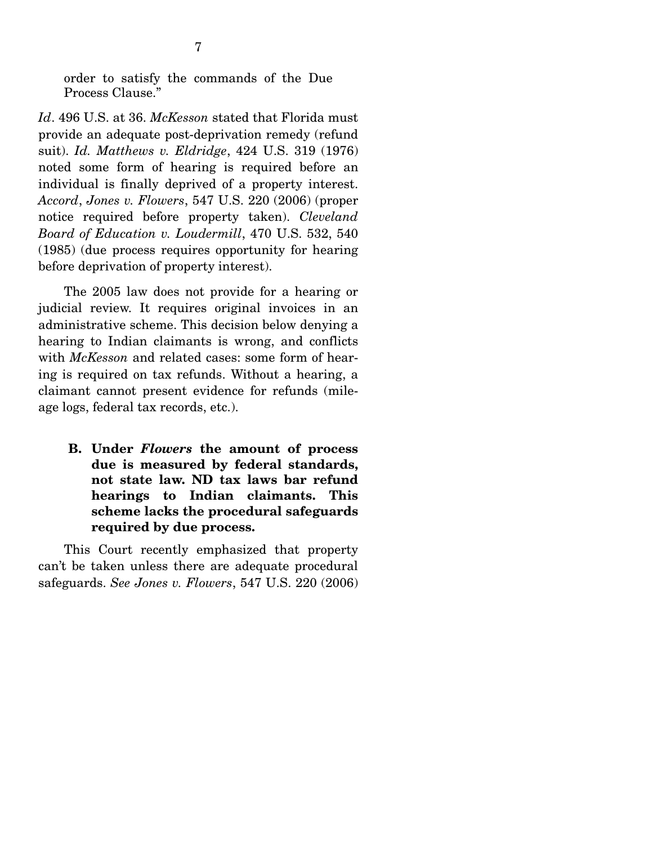order to satisfy the commands of the Due Process Clause."

*Id*. 496 U.S. at 36. *McKesson* stated that Florida must provide an adequate post-deprivation remedy (refund suit). *Id. Matthews v. Eldridge*, 424 U.S. 319 (1976) noted some form of hearing is required before an individual is finally deprived of a property interest. *Accord*, *Jones v. Flowers*, 547 U.S. 220 (2006) (proper notice required before property taken). *Cleveland Board of Education v. Loudermill*, 470 U.S. 532, 540 (1985) (due process requires opportunity for hearing before deprivation of property interest).

 The 2005 law does not provide for a hearing or judicial review. It requires original invoices in an administrative scheme. This decision below denying a hearing to Indian claimants is wrong, and conflicts with *McKesson* and related cases: some form of hearing is required on tax refunds. Without a hearing, a claimant cannot present evidence for refunds (mileage logs, federal tax records, etc.).

**B. Under** *Flowers* **the amount of process due is measured by federal standards, not state law. ND tax laws bar refund hearings to Indian claimants. This scheme lacks the procedural safeguards required by due process.**

 This Court recently emphasized that property can't be taken unless there are adequate procedural safeguards. *See Jones v. Flowers*, 547 U.S. 220 (2006)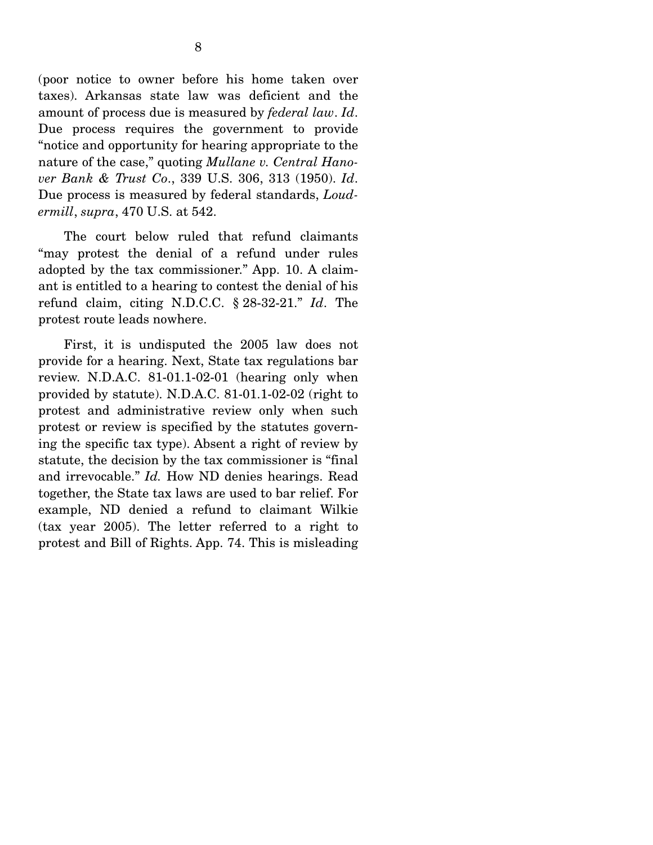(poor notice to owner before his home taken over taxes). Arkansas state law was deficient and the amount of process due is measured by *federal law*. *Id*. Due process requires the government to provide "notice and opportunity for hearing appropriate to the nature of the case," quoting *Mullane v. Central Hanover Bank & Trust Co*., 339 U.S. 306, 313 (1950). *Id*. Due process is measured by federal standards, *Loudermill*, *supra*, 470 U.S. at 542.

 The court below ruled that refund claimants "may protest the denial of a refund under rules adopted by the tax commissioner." App. 10. A claimant is entitled to a hearing to contest the denial of his refund claim, citing N.D.C.C. § 28-32-21." *Id*. The protest route leads nowhere.

 First, it is undisputed the 2005 law does not provide for a hearing. Next, State tax regulations bar review. N.D.A.C. 81-01.1-02-01 (hearing only when provided by statute). N.D.A.C. 81-01.1-02-02 (right to protest and administrative review only when such protest or review is specified by the statutes governing the specific tax type). Absent a right of review by statute, the decision by the tax commissioner is "final and irrevocable." *Id.* How ND denies hearings. Read together, the State tax laws are used to bar relief. For example, ND denied a refund to claimant Wilkie (tax year 2005). The letter referred to a right to protest and Bill of Rights. App. 74. This is misleading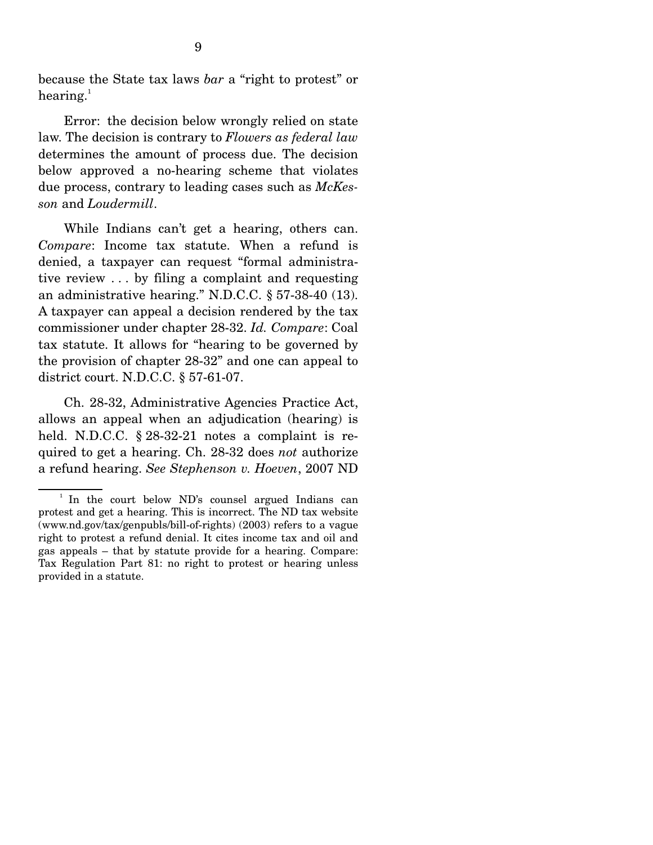because the State tax laws *bar* a "right to protest" or hearing. $^1$ 

 Error: the decision below wrongly relied on state law. The decision is contrary to *Flowers as federal law* determines the amount of process due. The decision below approved a no-hearing scheme that violates due process, contrary to leading cases such as *McKesson* and *Loudermill*.

 While Indians can't get a hearing, others can. *Compare*: Income tax statute. When a refund is denied, a taxpayer can request "formal administrative review . . . by filing a complaint and requesting an administrative hearing." N.D.C.C. § 57-38-40 (13). A taxpayer can appeal a decision rendered by the tax commissioner under chapter 28-32. *Id. Compare*: Coal tax statute. It allows for "hearing to be governed by the provision of chapter 28-32" and one can appeal to district court. N.D.C.C. § 57-61-07.

 Ch. 28-32, Administrative Agencies Practice Act, allows an appeal when an adjudication (hearing) is held. N.D.C.C. § 28-32-21 notes a complaint is required to get a hearing. Ch. 28-32 does *not* authorize a refund hearing. *See Stephenson v. Hoeven*, 2007 ND

<sup>&</sup>lt;sup>1</sup> In the court below ND's counsel argued Indians can protest and get a hearing. This is incorrect. The ND tax website (www.nd.gov/tax/genpubls/bill-of-rights) (2003) refers to a vague right to protest a refund denial. It cites income tax and oil and gas appeals – that by statute provide for a hearing. Compare: Tax Regulation Part 81: no right to protest or hearing unless provided in a statute.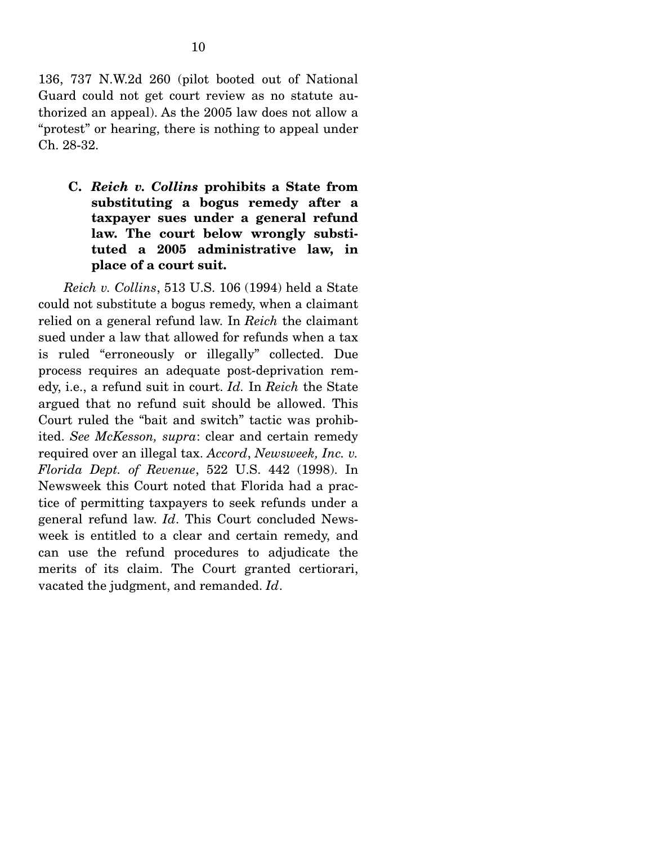136, 737 N.W.2d 260 (pilot booted out of National Guard could not get court review as no statute authorized an appeal). As the 2005 law does not allow a "protest" or hearing, there is nothing to appeal under Ch. 28-32.

**C.** *Reich v. Collins* **prohibits a State from substituting a bogus remedy after a taxpayer sues under a general refund law. The court below wrongly substituted a 2005 administrative law, in place of a court suit.** 

 *Reich v. Collins*, 513 U.S. 106 (1994) held a State could not substitute a bogus remedy, when a claimant relied on a general refund law. In *Reich* the claimant sued under a law that allowed for refunds when a tax is ruled "erroneously or illegally" collected. Due process requires an adequate post-deprivation remedy, i.e., a refund suit in court. *Id.* In *Reich* the State argued that no refund suit should be allowed. This Court ruled the "bait and switch" tactic was prohibited. *See McKesson, supra*: clear and certain remedy required over an illegal tax. *Accord*, *Newsweek, Inc. v. Florida Dept. of Revenue*, 522 U.S. 442 (1998). In Newsweek this Court noted that Florida had a practice of permitting taxpayers to seek refunds under a general refund law. *Id*. This Court concluded Newsweek is entitled to a clear and certain remedy, and can use the refund procedures to adjudicate the merits of its claim. The Court granted certiorari, vacated the judgment, and remanded. *Id*.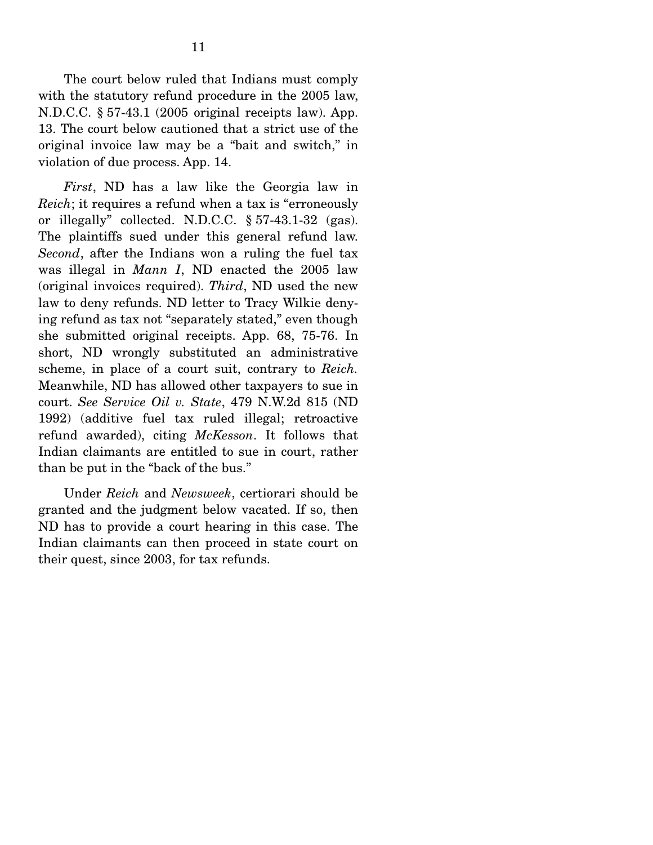The court below ruled that Indians must comply with the statutory refund procedure in the 2005 law, N.D.C.C. § 57-43.1 (2005 original receipts law). App. 13. The court below cautioned that a strict use of the original invoice law may be a "bait and switch," in violation of due process. App. 14.

 *First*, ND has a law like the Georgia law in *Reich*; it requires a refund when a tax is "erroneously or illegally" collected. N.D.C.C. § 57-43.1-32 (gas). The plaintiffs sued under this general refund law. *Second*, after the Indians won a ruling the fuel tax was illegal in *Mann I*, ND enacted the 2005 law (original invoices required). *Third*, ND used the new law to deny refunds. ND letter to Tracy Wilkie denying refund as tax not "separately stated," even though she submitted original receipts. App. 68, 75-76. In short, ND wrongly substituted an administrative scheme, in place of a court suit, contrary to *Reich.*  Meanwhile, ND has allowed other taxpayers to sue in court. *See Service Oil v. State*, 479 N.W.2d 815 (ND 1992) (additive fuel tax ruled illegal; retroactive refund awarded), citing *McKesson*. It follows that Indian claimants are entitled to sue in court, rather than be put in the "back of the bus."

 Under *Reich* and *Newsweek*, certiorari should be granted and the judgment below vacated. If so, then ND has to provide a court hearing in this case. The Indian claimants can then proceed in state court on their quest, since 2003, for tax refunds.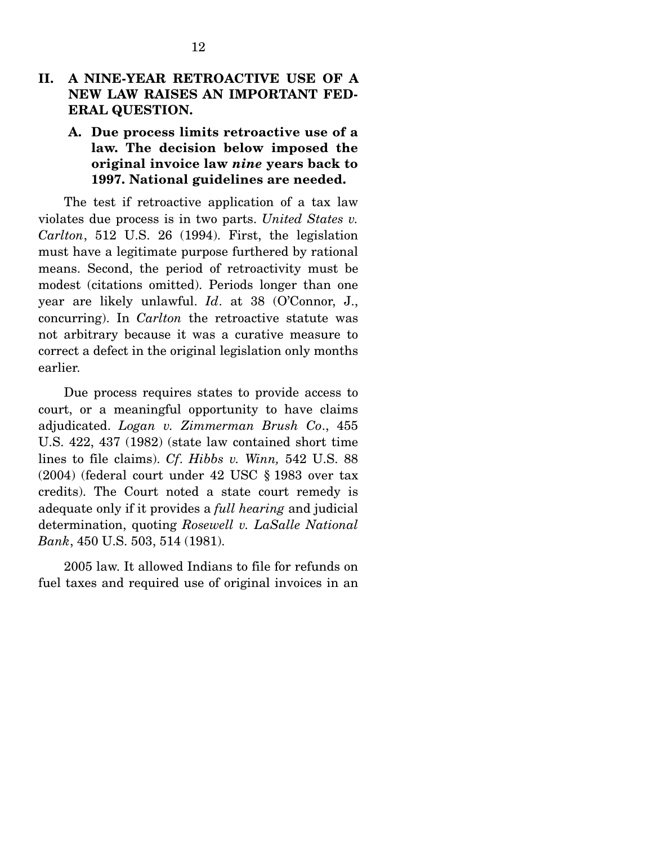## **II. A NINE-YEAR RETROACTIVE USE OF A NEW LAW RAISES AN IMPORTANT FED-ERAL QUESTION.**

**A. Due process limits retroactive use of a law. The decision below imposed the original invoice law** *nine* **years back to 1997. National guidelines are needed.** 

 The test if retroactive application of a tax law violates due process is in two parts. *United States v. Carlton*, 512 U.S. 26 (1994). First, the legislation must have a legitimate purpose furthered by rational means. Second, the period of retroactivity must be modest (citations omitted). Periods longer than one year are likely unlawful. *Id*. at 38 (O'Connor, J., concurring). In *Carlton* the retroactive statute was not arbitrary because it was a curative measure to correct a defect in the original legislation only months earlier.

 Due process requires states to provide access to court, or a meaningful opportunity to have claims adjudicated. *Logan v. Zimmerman Brush Co*., 455 U.S. 422, 437 (1982) (state law contained short time lines to file claims). *Cf*. *Hibbs v. Winn,* 542 U.S. 88 (2004) (federal court under 42 USC § 1983 over tax credits). The Court noted a state court remedy is adequate only if it provides a *full hearing* and judicial determination, quoting *Rosewell v. LaSalle National Bank*, 450 U.S. 503, 514 (1981).

 2005 law. It allowed Indians to file for refunds on fuel taxes and required use of original invoices in an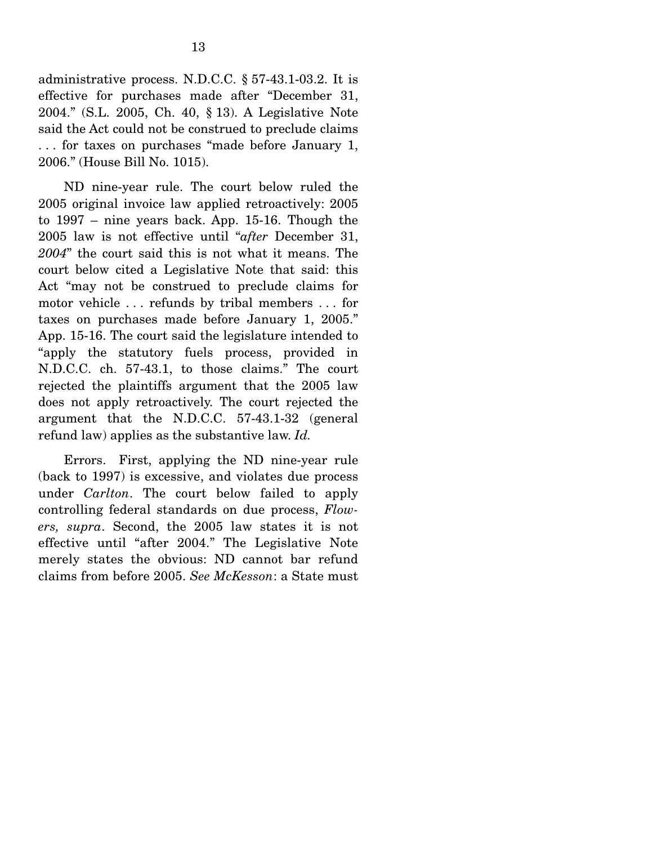administrative process. N.D.C.C. § 57-43.1-03.2. It is effective for purchases made after "December 31, 2004." (S.L. 2005, Ch. 40, § 13). A Legislative Note said the Act could not be construed to preclude claims . . . for taxes on purchases "made before January 1, 2006." (House Bill No. 1015).

 ND nine-year rule. The court below ruled the 2005 original invoice law applied retroactively: 2005 to 1997 – nine years back. App. 15-16. Though the 2005 law is not effective until "*after* December 31, *2004*" the court said this is not what it means. The court below cited a Legislative Note that said: this Act "may not be construed to preclude claims for motor vehicle . . . refunds by tribal members . . . for taxes on purchases made before January 1, 2005." App. 15-16. The court said the legislature intended to "apply the statutory fuels process, provided in N.D.C.C. ch. 57-43.1, to those claims." The court rejected the plaintiffs argument that the 2005 law does not apply retroactively. The court rejected the argument that the N.D.C.C. 57-43.1-32 (general refund law) applies as the substantive law. *Id.*

 Errors. First, applying the ND nine-year rule (back to 1997) is excessive, and violates due process under *Carlton*. The court below failed to apply controlling federal standards on due process, *Flowers, supra*. Second, the 2005 law states it is not effective until "after 2004." The Legislative Note merely states the obvious: ND cannot bar refund claims from before 2005. *See McKesson*: a State must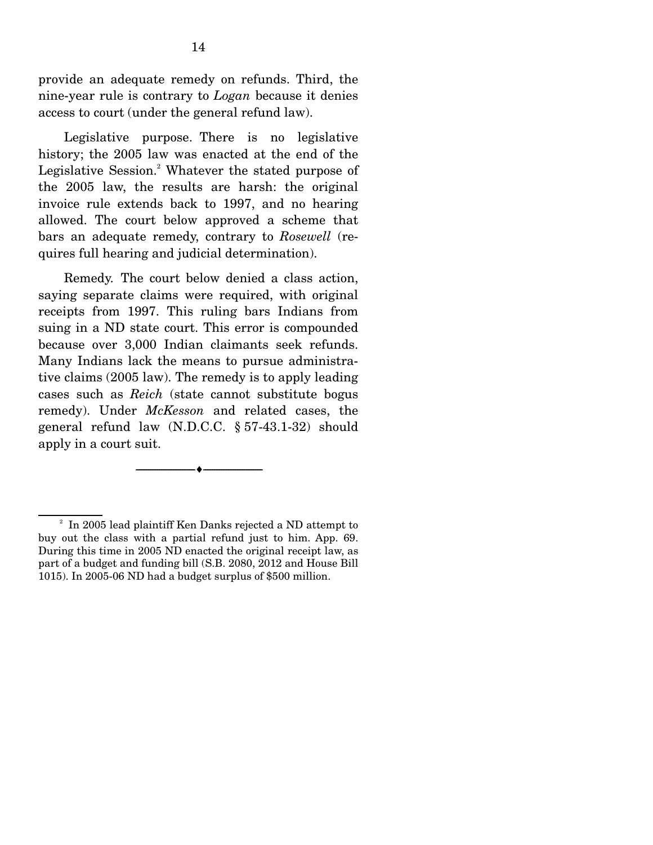provide an adequate remedy on refunds. Third, the nine-year rule is contrary to *Logan* because it denies access to court (under the general refund law).

 Legislative purpose. There is no legislative history; the 2005 law was enacted at the end of the Legislative Session.<sup>2</sup> Whatever the stated purpose of the 2005 law, the results are harsh: the original invoice rule extends back to 1997, and no hearing allowed. The court below approved a scheme that bars an adequate remedy, contrary to *Rosewell* (requires full hearing and judicial determination).

 Remedy. The court below denied a class action, saying separate claims were required, with original receipts from 1997. This ruling bars Indians from suing in a ND state court. This error is compounded because over 3,000 Indian claimants seek refunds. Many Indians lack the means to pursue administrative claims (2005 law). The remedy is to apply leading cases such as *Reich* (state cannot substitute bogus remedy). Under *McKesson* and related cases, the general refund law (N.D.C.C. § 57-43.1-32) should apply in a court suit.

 $\overbrace{\hspace{2.5cm}}$   $\overbrace{\hspace{2.5cm}}$   $\overbrace{\hspace{2.5cm}}$ 

<sup>&</sup>lt;sup>2</sup> In 2005 lead plaintiff Ken Danks rejected a ND attempt to buy out the class with a partial refund just to him. App. 69. During this time in 2005 ND enacted the original receipt law, as part of a budget and funding bill (S.B. 2080, 2012 and House Bill 1015). In 2005-06 ND had a budget surplus of \$500 million.